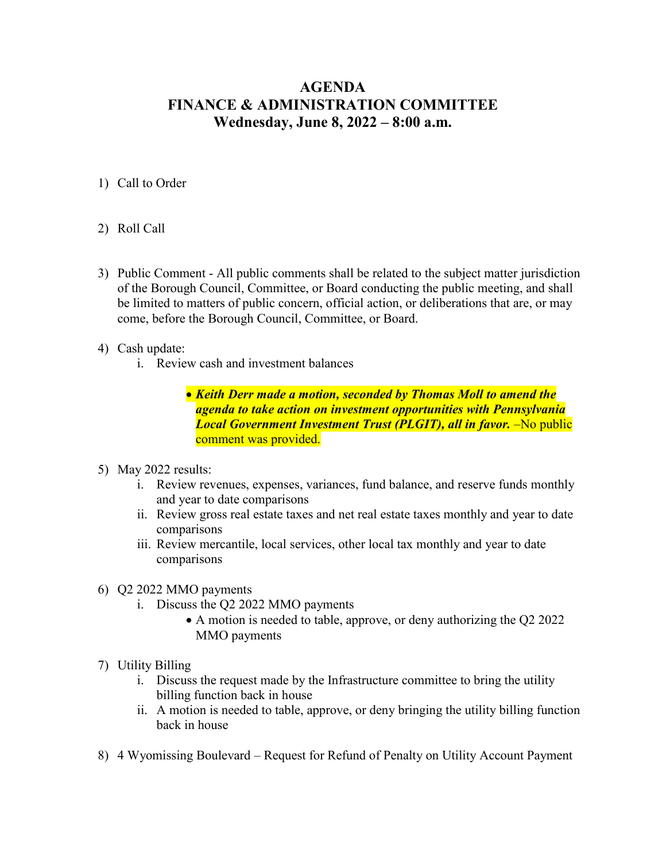## **AGENDA FINANCE & ADMINISTRATION COMMITTEE Wednesday, June 8, 2022 – 8:00 a.m.**

## 1) Call to Order

- 2) Roll Call
- 3) Public Comment All public comments shall be related to the subject matter jurisdiction of the Borough Council, Committee, or Board conducting the public meeting, and shall be limited to matters of public concern, official action, or deliberations that are, or may come, before the Borough Council, Committee, or Board.
- 4) Cash update:
	- i. Review cash and investment balances
		- *Keith Derr made a motion, seconded by Thomas Moll to amend the agenda to take action on investment opportunities with Pennsylvania Local Government Investment Trust (PLGIT), all in favor.* –No public comment was provided.
- 5) May 2022 results:
	- i. Review revenues, expenses, variances, fund balance, and reserve funds monthly and year to date comparisons
	- ii. Review gross real estate taxes and net real estate taxes monthly and year to date comparisons
	- iii. Review mercantile, local services, other local tax monthly and year to date comparisons
- 6) Q2 2022 MMO payments
	- i. Discuss the Q2 2022 MMO payments
		- A motion is needed to table, approve, or deny authorizing the Q2 2022 MMO payments
- 7) Utility Billing
	- i. Discuss the request made by the Infrastructure committee to bring the utility billing function back in house
	- ii. A motion is needed to table, approve, or deny bringing the utility billing function back in house
- 8) 4 Wyomissing Boulevard Request for Refund of Penalty on Utility Account Payment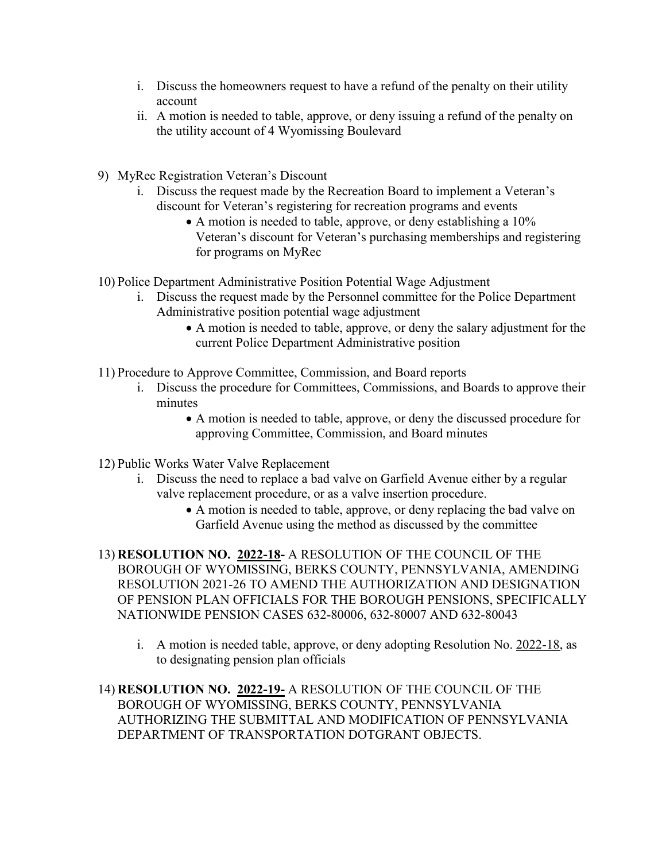- i. Discuss the homeowners request to have a refund of the penalty on their utility account
- ii. A motion is needed to table, approve, or deny issuing a refund of the penalty on the utility account of 4 Wyomissing Boulevard
- 9) MyRec Registration Veteran's Discount
	- i. Discuss the request made by the Recreation Board to implement a Veteran's discount for Veteran's registering for recreation programs and events
		- A motion is needed to table, approve, or deny establishing a 10% Veteran's discount for Veteran's purchasing memberships and registering for programs on MyRec
- 10) Police Department Administrative Position Potential Wage Adjustment
	- i. Discuss the request made by the Personnel committee for the Police Department Administrative position potential wage adjustment
		- A motion is needed to table, approve, or deny the salary adjustment for the current Police Department Administrative position
- 11) Procedure to Approve Committee, Commission, and Board reports
	- i. Discuss the procedure for Committees, Commissions, and Boards to approve their minutes
		- A motion is needed to table, approve, or deny the discussed procedure for approving Committee, Commission, and Board minutes
- 12) Public Works Water Valve Replacement
	- i. Discuss the need to replace a bad valve on Garfield Avenue either by a regular valve replacement procedure, or as a valve insertion procedure.
		- A motion is needed to table, approve, or deny replacing the bad valve on Garfield Avenue using the method as discussed by the committee
- 13) **RESOLUTION NO. 2022-18-** A RESOLUTION OF THE COUNCIL OF THE BOROUGH OF WYOMISSING, BERKS COUNTY, PENNSYLVANIA, AMENDING RESOLUTION 2021-26 TO AMEND THE AUTHORIZATION AND DESIGNATION OF PENSION PLAN OFFICIALS FOR THE BOROUGH PENSIONS, SPECIFICALLY NATIONWIDE PENSION CASES 632-80006, 632-80007 AND 632-80043
	- i. A motion is needed table, approve, or deny adopting Resolution No. 2022-18, as to designating pension plan officials

14) **RESOLUTION NO. 2022-19-** A RESOLUTION OF THE COUNCIL OF THE BOROUGH OF WYOMISSING, BERKS COUNTY, PENNSYLVANIA AUTHORIZING THE SUBMITTAL AND MODIFICATION OF PENNSYLVANIA DEPARTMENT OF TRANSPORTATION DOTGRANT OBJECTS.